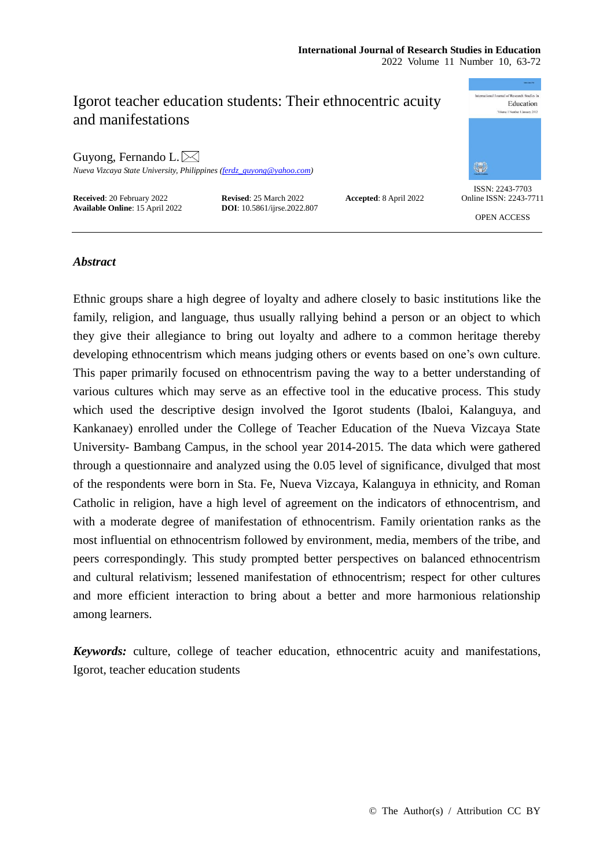# onal Journal of Research Studies in Igorot teacher education students: Their ethnocentric acuity Education and manifestations Guyong, Fernando L. $\bowtie$ \$ *Nueva Vizcaya State University, Philippines [\(ferdz\\_guyong@yahoo.com\)](mailto:ferdz_guyong@yahoo.com)* ISSN: 2243-7703 **Received**: 20 February 2022 **Revised**: 25 March 2022 **Accepted**: 8 April 2022 **Available Online**: 15 April 2022 **DOI**: 10.5861/ijrse.2022.807 Online ISSN: 2243-7711 **Available Online**: 15 April 2022 OPEN ACCESS

# *Abstract*

Ethnic groups share a high degree of loyalty and adhere closely to basic institutions like the family, religion, and language, thus usually rallying behind a person or an object to which they give their allegiance to bring out loyalty and adhere to a common heritage thereby developing ethnocentrism which means judging others or events based on one's own culture. This paper primarily focused on ethnocentrism paving the way to a better understanding of various cultures which may serve as an effective tool in the educative process. This study which used the descriptive design involved the Igorot students (Ibaloi, Kalanguya, and Kankanaey) enrolled under the College of Teacher Education of the Nueva Vizcaya State University- Bambang Campus, in the school year 2014-2015. The data which were gathered through a questionnaire and analyzed using the 0.05 level of significance, divulged that most of the respondents were born in Sta. Fe, Nueva Vizcaya, Kalanguya in ethnicity, and Roman Catholic in religion, have a high level of agreement on the indicators of ethnocentrism, and with a moderate degree of manifestation of ethnocentrism. Family orientation ranks as the most influential on ethnocentrism followed by environment, media, members of the tribe, and peers correspondingly. This study prompted better perspectives on balanced ethnocentrism and cultural relativism; lessened manifestation of ethnocentrism; respect for other cultures and more efficient interaction to bring about a better and more harmonious relationship among learners.

*Keywords:* culture, college of teacher education, ethnocentric acuity and manifestations, Igorot, teacher education students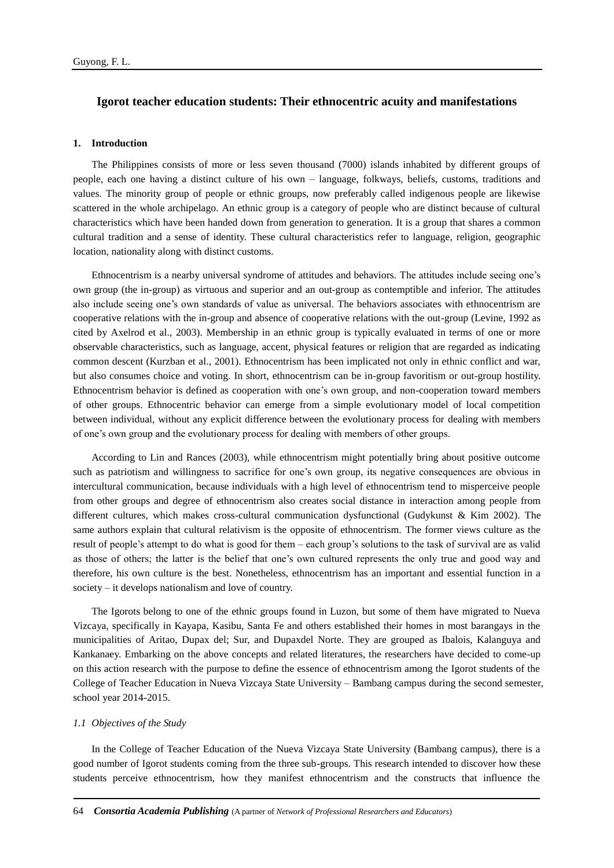# **Igorot teacher education students: Their ethnocentric acuity and manifestations**

#### **1. Introduction**

The Philippines consists of more or less seven thousand (7000) islands inhabited by different groups of people, each one having a distinct culture of his own – language, folkways, beliefs, customs, traditions and values. The minority group of people or ethnic groups, now preferably called indigenous people are likewise scattered in the whole archipelago. An ethnic group is a category of people who are distinct because of cultural characteristics which have been handed down from generation to generation. It is a group that shares a common cultural tradition and a sense of identity. These cultural characteristics refer to language, religion, geographic location, nationality along with distinct customs.

Ethnocentrism is a nearby universal syndrome of attitudes and behaviors. The attitudes include seeing one's own group (the in-group) as virtuous and superior and an out-group as contemptible and inferior. The attitudes also include seeing one's own standards of value as universal. The behaviors associates with ethnocentrism are cooperative relations with the in-group and absence of cooperative relations with the out-group (Levine, 1992 as cited by Axelrod et al., 2003). Membership in an ethnic group is typically evaluated in terms of one or more observable characteristics, such as language, accent, physical features or religion that are regarded as indicating common descent (Kurzban et al., 2001). Ethnocentrism has been implicated not only in ethnic conflict and war, but also consumes choice and voting. In short, ethnocentrism can be in-group favoritism or out-group hostility. Ethnocentrism behavior is defined as cooperation with one's own group, and non-cooperation toward members of other groups. Ethnocentric behavior can emerge from a simple evolutionary model of local competition between individual, without any explicit difference between the evolutionary process for dealing with members of one's own group and the evolutionary process for dealing with members of other groups.

According to Lin and Rances (2003), while ethnocentrism might potentially bring about positive outcome such as patriotism and willingness to sacrifice for one's own group, its negative consequences are obvious in intercultural communication, because individuals with a high level of ethnocentrism tend to misperceive people from other groups and degree of ethnocentrism also creates social distance in interaction among people from different cultures, which makes cross-cultural communication dysfunctional (Gudykunst & Kim 2002). The same authors explain that cultural relativism is the opposite of ethnocentrism. The former views culture as the result of people's attempt to do what is good for them – each group's solutions to the task of survival are as valid as those of others; the latter is the belief that one's own cultured represents the only true and good way and therefore, his own culture is the best. Nonetheless, ethnocentrism has an important and essential function in a society – it develops nationalism and love of country.

The Igorots belong to one of the ethnic groups found in Luzon, but some of them have migrated to Nueva Vizcaya, specifically in Kayapa, Kasibu, Santa Fe and others established their homes in most barangays in the municipalities of Aritao, Dupax del; Sur, and Dupaxdel Norte. They are grouped as Ibalois, Kalanguya and Kankanaey. Embarking on the above concepts and related literatures, the researchers have decided to come-up on this action research with the purpose to define the essence of ethnocentrism among the Igorot students of the College of Teacher Education in Nueva Vizcaya State University – Bambang campus during the second semester, school year 2014-2015.

#### *1.1 Objectives of the Study*

In the College of Teacher Education of the Nueva Vizcaya State University (Bambang campus), there is a good number of Igorot students coming from the three sub-groups. This research intended to discover how these students perceive ethnocentrism, how they manifest ethnocentrism and the constructs that influence the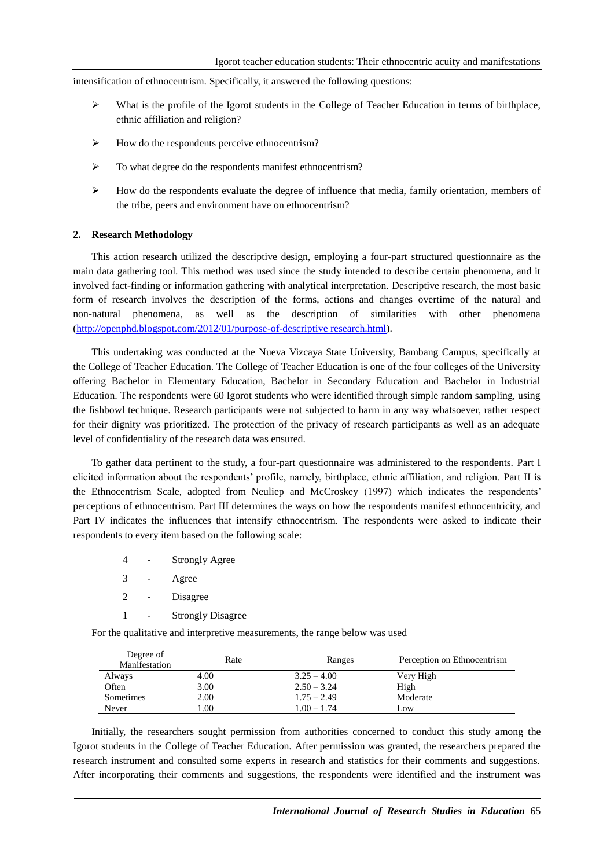intensification of ethnocentrism. Specifically, it answered the following questions:

- $\triangleright$  What is the profile of the Igorot students in the College of Teacher Education in terms of birthplace, ethnic affiliation and religion?
- $\triangleright$  How do the respondents perceive ethnocentrism?
- To what degree do the respondents manifest ethnocentrism?
- $\triangleright$  How do the respondents evaluate the degree of influence that media, family orientation, members of the tribe, peers and environment have on ethnocentrism?

#### **2. Research Methodology**

This action research utilized the descriptive design, employing a four-part structured questionnaire as the main data gathering tool. This method was used since the study intended to describe certain phenomena, and it involved fact-finding or information gathering with analytical interpretation. Descriptive research, the most basic form of research involves the description of the forms, actions and changes overtime of the natural and non-natural phenomena, as well as the description of similarities with other phenomena [\(http://openphd.blogspot.com/2012/01/purpose-of-descriptive research.html\)](http://openphd.blogspot.com/2012/01/purpose-of-descriptive%20research.html).

This undertaking was conducted at the Nueva Vizcaya State University, Bambang Campus, specifically at the College of Teacher Education. The College of Teacher Education is one of the four colleges of the University offering Bachelor in Elementary Education, Bachelor in Secondary Education and Bachelor in Industrial Education. The respondents were 60 Igorot students who were identified through simple random sampling, using the fishbowl technique. Research participants were not subjected to harm in any way whatsoever, rather respect for their dignity was prioritized. The protection of the privacy of research participants as well as an adequate level of confidentiality of the research data was ensured.

To gather data pertinent to the study, a four-part questionnaire was administered to the respondents. Part I elicited information about the respondents' profile, namely, birthplace, ethnic affiliation, and religion. Part II is the Ethnocentrism Scale, adopted from Neuliep and McCroskey (1997) which indicates the respondents' perceptions of ethnocentrism. Part III determines the ways on how the respondents manifest ethnocentricity, and Part IV indicates the influences that intensify ethnocentrism. The respondents were asked to indicate their respondents to every item based on the following scale:

- 4 Strongly Agree
- 3 Agree
- 2 Disagree
- 1 Strongly Disagree

For the qualitative and interpretive measurements, the range below was used

| Degree of<br>Manifestation | Rate | Ranges        | Perception on Ethnocentrism |
|----------------------------|------|---------------|-----------------------------|
| Always                     | 4.00 | $3.25 - 4.00$ | Very High                   |
| Often                      | 3.00 | $2.50 - 3.24$ | High                        |
| Sometimes                  | 2.00 | $1.75 - 2.49$ | Moderate                    |
| Never                      | L.OO | $1.00 - 1.74$ | Low                         |

Initially, the researchers sought permission from authorities concerned to conduct this study among the Igorot students in the College of Teacher Education. After permission was granted, the researchers prepared the research instrument and consulted some experts in research and statistics for their comments and suggestions. After incorporating their comments and suggestions, the respondents were identified and the instrument was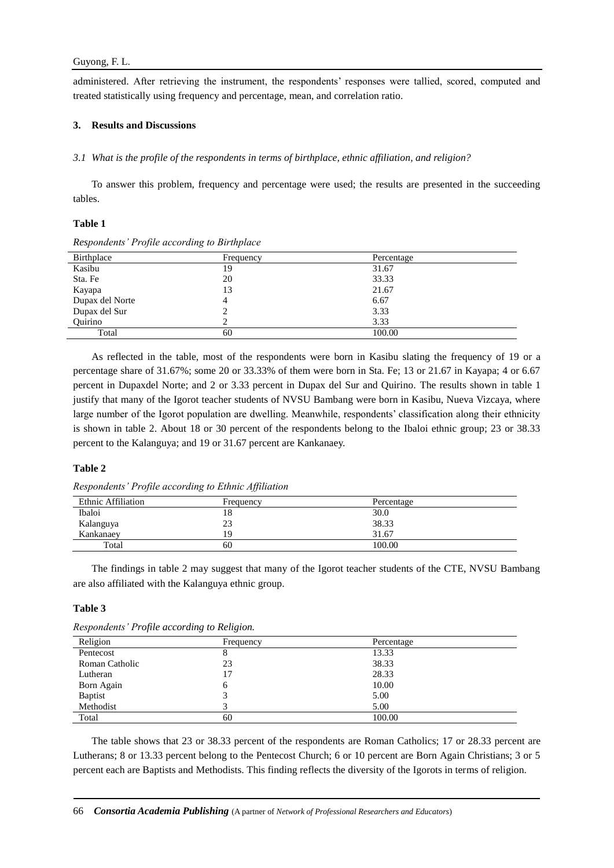administered. After retrieving the instrument, the respondents' responses were tallied, scored, computed and treated statistically using frequency and percentage, mean, and correlation ratio.

# **3. Results and Discussions**

### *3.1 What is the profile of the respondents in terms of birthplace, ethnic affiliation, and religion?*

To answer this problem, frequency and percentage were used; the results are presented in the succeeding tables.

# **Table 1**

| Birthplace      | Frequency | Percentage |
|-----------------|-----------|------------|
| Kasibu          | 19        | 31.67      |
| Sta. Fe         | 20        | 33.33      |
| Kayapa          | 13        | 21.67      |
| Dupax del Norte |           | 6.67       |
| Dupax del Sur   |           | 3.33       |
| Ouirino         |           | 3.33       |
| Total           | 60        | 100.00     |

*Respondents' Profile according to Birthplace*

As reflected in the table, most of the respondents were born in Kasibu slating the frequency of 19 or a percentage share of 31.67%; some 20 or 33.33% of them were born in Sta. Fe; 13 or 21.67 in Kayapa; 4 or 6.67 percent in Dupaxdel Norte; and 2 or 3.33 percent in Dupax del Sur and Quirino. The results shown in table 1 justify that many of the Igorot teacher students of NVSU Bambang were born in Kasibu, Nueva Vizcaya, where large number of the Igorot population are dwelling. Meanwhile, respondents' classification along their ethnicity is shown in table 2. About 18 or 30 percent of the respondents belong to the Ibaloi ethnic group; 23 or 38.33 percent to the Kalanguya; and 19 or 31.67 percent are Kankanaey.

#### **Table 2**

*Respondents' Profile according to Ethnic Affiliation*

| $\cdot$            | $\cdot$<br>$\upsilon$ |            |  |
|--------------------|-----------------------|------------|--|
| Ethnic Affiliation | Frequency             | Percentage |  |
| Ibaloi             | 18                    | 30.0       |  |
| Kalanguya          | 23                    | 38.33      |  |
| Kankanaey          | 19                    | 31.67      |  |
| Total              | 60                    | 100.00     |  |

The findings in table 2 may suggest that many of the Igorot teacher students of the CTE, NVSU Bambang are also affiliated with the Kalanguya ethnic group.

### **Table 3**

| Religion       | Frequency    | Percentage |  |
|----------------|--------------|------------|--|
| Pentecost      | 8            | 13.33      |  |
| Roman Catholic | 23           | 38.33      |  |
| Lutheran       | 17           | 28.33      |  |
| Born Again     | <sub>(</sub> | 10.00      |  |
| <b>Baptist</b> |              | 5.00       |  |
| Methodist      |              | 5.00       |  |
| Total          | 60           | 100.00     |  |

*Respondents' Profile according to Religion.*

The table shows that 23 or 38.33 percent of the respondents are Roman Catholics; 17 or 28.33 percent are Lutherans; 8 or 13.33 percent belong to the Pentecost Church; 6 or 10 percent are Born Again Christians; 3 or 5 percent each are Baptists and Methodists. This finding reflects the diversity of the Igorots in terms of religion.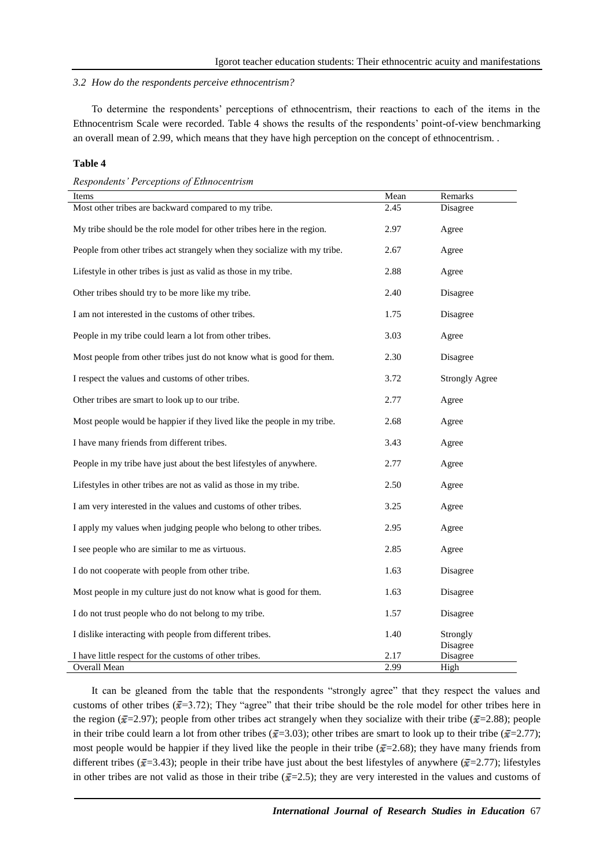#### *3.2 How do the respondents perceive ethnocentrism?*

To determine the respondents' perceptions of ethnocentrism, their reactions to each of the items in the Ethnocentrism Scale were recorded. Table 4 shows the results of the respondents' point-of-view benchmarking an overall mean of 2.99, which means that they have high perception on the concept of ethnocentrism. .

## **Table 4**

*Respondents' Perceptions of Ethnocentrism*

| Items                                                                     | Mean | Remarks               |
|---------------------------------------------------------------------------|------|-----------------------|
| Most other tribes are backward compared to my tribe.                      | 2.45 | Disagree              |
| My tribe should be the role model for other tribes here in the region.    | 2.97 | Agree                 |
| People from other tribes act strangely when they socialize with my tribe. | 2.67 | Agree                 |
| Lifestyle in other tribes is just as valid as those in my tribe.          | 2.88 | Agree                 |
| Other tribes should try to be more like my tribe.                         | 2.40 | Disagree              |
| I am not interested in the customs of other tribes.                       | 1.75 | Disagree              |
| People in my tribe could learn a lot from other tribes.                   | 3.03 | Agree                 |
| Most people from other tribes just do not know what is good for them.     | 2.30 | Disagree              |
| I respect the values and customs of other tribes.                         | 3.72 | <b>Strongly Agree</b> |
| Other tribes are smart to look up to our tribe.                           | 2.77 | Agree                 |
| Most people would be happier if they lived like the people in my tribe.   | 2.68 | Agree                 |
| I have many friends from different tribes.                                | 3.43 | Agree                 |
| People in my tribe have just about the best lifestyles of anywhere.       | 2.77 | Agree                 |
| Lifestyles in other tribes are not as valid as those in my tribe.         | 2.50 | Agree                 |
| I am very interested in the values and customs of other tribes.           | 3.25 | Agree                 |
| I apply my values when judging people who belong to other tribes.         | 2.95 | Agree                 |
| I see people who are similar to me as virtuous.                           | 2.85 | Agree                 |
| I do not cooperate with people from other tribe.                          | 1.63 | Disagree              |
| Most people in my culture just do not know what is good for them.         | 1.63 | Disagree              |
| I do not trust people who do not belong to my tribe.                      | 1.57 | Disagree              |
| I dislike interacting with people from different tribes.                  | 1.40 | Strongly<br>Disagree  |
| I have little respect for the customs of other tribes.                    | 2.17 | Disagree              |
| Overall Mean                                                              | 2.99 | High                  |

It can be gleaned from the table that the respondents "strongly agree" that they respect the values and customs of other tribes ( $\bar{x}$ =3.72); They "agree" that their tribe should be the role model for other tribes here in the region ( $\bar{x}$ =2.97); people from other tribes act strangely when they socialize with their tribe ( $\bar{x}$ =2.88); people in their tribe could learn a lot from other tribes ( $\bar{x}=3.03$ ); other tribes are smart to look up to their tribe ( $\bar{x}=2.77$ ); most people would be happier if they lived like the people in their tribe ( $\bar{x}$ =2.68); they have many friends from different tribes ( $\bar{x}$ =3.43); people in their tribe have just about the best lifestyles of anywhere ( $\bar{x}$ =2.77); lifestyles in other tribes are not valid as those in their tribe  $(\bar{x}=2.5)$ ; they are very interested in the values and customs of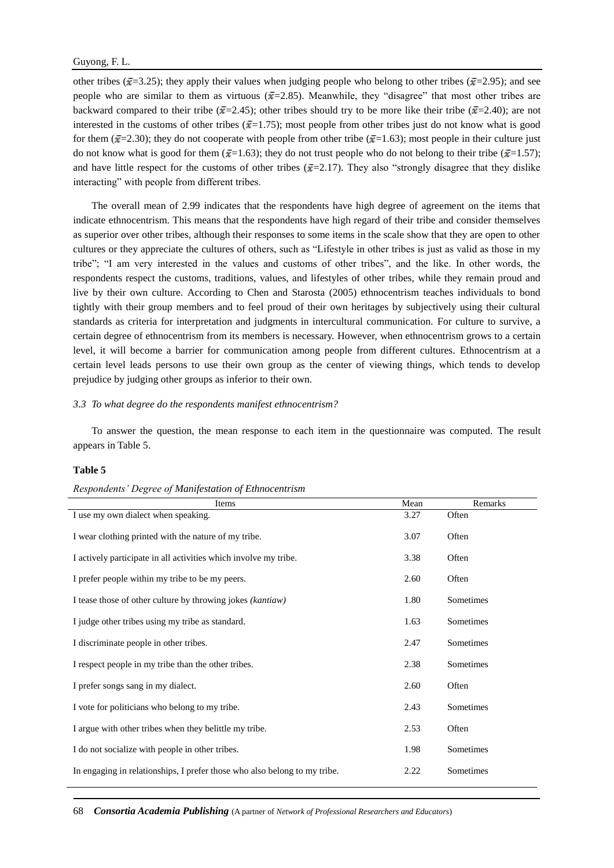other tribes ( $\bar{x}$ =3.25); they apply their values when judging people who belong to other tribes ( $\bar{x}$ =2.95); and see people who are similar to them as virtuous ( $\bar{x}$ =2.85). Meanwhile, they "disagree" that most other tribes are backward compared to their tribe ( $\bar{x}$ =2.45); other tribes should try to be more like their tribe ( $\bar{x}$ =2.40); are not interested in the customs of other tribes ( $\bar{x}$ =1.75); most people from other tribes just do not know what is good for them ( $\bar{x}$ =2.30); they do not cooperate with people from other tribe ( $\bar{x}$ =1.63); most people in their culture just do not know what is good for them ( $\bar{x}$ =1.63); they do not trust people who do not belong to their tribe ( $\bar{x}$ =1.57); and have little respect for the customs of other tribes ( $\bar{x}$ =2.17). They also "strongly disagree that they dislike interacting" with people from different tribes.

The overall mean of 2.99 indicates that the respondents have high degree of agreement on the items that indicate ethnocentrism. This means that the respondents have high regard of their tribe and consider themselves as superior over other tribes, although their responses to some items in the scale show that they are open to other cultures or they appreciate the cultures of others, such as "Lifestyle in other tribes is just as valid as those in my tribe"; "I am very interested in the values and customs of other tribes", and the like. In other words, the respondents respect the customs, traditions, values, and lifestyles of other tribes, while they remain proud and live by their own culture. According to Chen and Starosta (2005) ethnocentrism teaches individuals to bond tightly with their group members and to feel proud of their own heritages by subjectively using their cultural standards as criteria for interpretation and judgments in intercultural communication. For culture to survive, a certain degree of ethnocentrism from its members is necessary. However, when ethnocentrism grows to a certain level, it will become a barrier for communication among people from different cultures. Ethnocentrism at a certain level leads persons to use their own group as the center of viewing things, which tends to develop prejudice by judging other groups as inferior to their own.

#### *3.3 To what degree do the respondents manifest ethnocentrism?*

To answer the question, the mean response to each item in the questionnaire was computed. The result appears in Table 5.

## **Table 5**

|  | Respondents' Degree of Manifestation of Ethnocentrism |
|--|-------------------------------------------------------|
|  |                                                       |

| Items                                                                     | Mean | Remarks   |
|---------------------------------------------------------------------------|------|-----------|
| I use my own dialect when speaking.                                       | 3.27 | Often     |
| I wear clothing printed with the nature of my tribe.                      | 3.07 | Often     |
| I actively participate in all activities which involve my tribe.          | 3.38 | Often     |
| I prefer people within my tribe to be my peers.                           | 2.60 | Often     |
| I tease those of other culture by throwing jokes (kantiaw)                | 1.80 | Sometimes |
| I judge other tribes using my tribe as standard.                          | 1.63 | Sometimes |
| I discriminate people in other tribes.                                    | 2.47 | Sometimes |
| I respect people in my tribe than the other tribes.                       | 2.38 | Sometimes |
| I prefer songs sang in my dialect.                                        | 2.60 | Often     |
| I vote for politicians who belong to my tribe.                            | 2.43 | Sometimes |
| I argue with other tribes when they belittle my tribe.                    | 2.53 | Often     |
| I do not socialize with people in other tribes.                           | 1.98 | Sometimes |
| In engaging in relationships, I prefer those who also belong to my tribe. | 2.22 | Sometimes |

68 *Consortia Academia Publishing* (A partner of *Network of Professional Researchers and Educators*)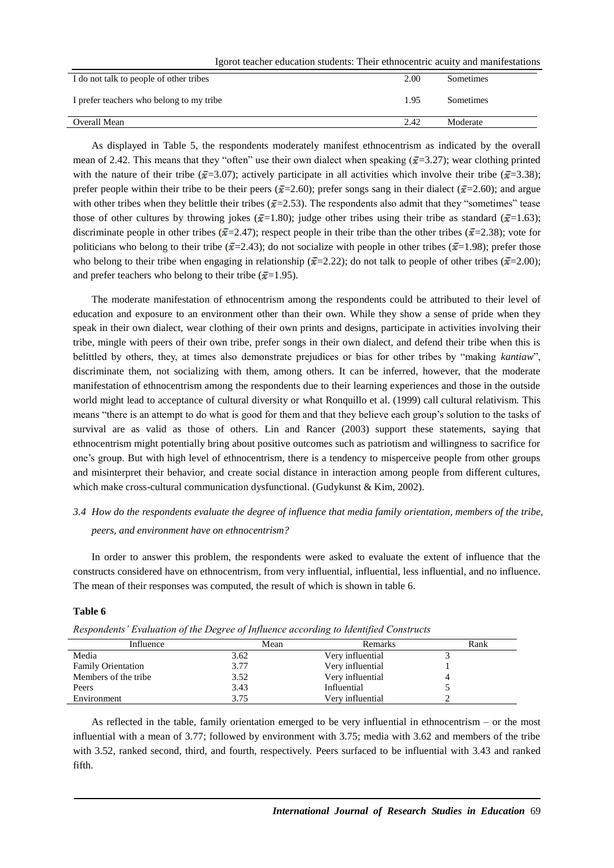Igorot teacher education students: Their ethnocentric acuity and manifestations

| I do not talk to people of other tribes  | 2.00 | Sometimes |
|------------------------------------------|------|-----------|
| I prefer teachers who belong to my tribe | 1.95 | Sometimes |
| Overall Mean                             | 2.42 | Moderate  |
|                                          |      |           |

As displayed in Table 5, the respondents moderately manifest ethnocentrism as indicated by the overall mean of 2.42. This means that they "often" use their own dialect when speaking ( $\bar{x}$ =3.27); wear clothing printed with the nature of their tribe ( $\bar{x}$ =3.07); actively participate in all activities which involve their tribe ( $\bar{x}$ =3.38); prefer people within their tribe to be their peers ( $\bar{x}=2.60$ ); prefer songs sang in their dialect ( $\bar{x}=2.60$ ); and argue with other tribes when they belittle their tribes ( $\bar{x}$ =2.53). The respondents also admit that they "sometimes" tease those of other cultures by throwing jokes ( $\bar{x}$ =1.80); judge other tribes using their tribe as standard ( $\bar{x}$ =1.63); discriminate people in other tribes ( $\bar{x}$ =2.47); respect people in their tribe than the other tribes ( $\bar{x}$ =2.38); vote for politicians who belong to their tribe ( $\bar{x}$ =2.43); do not socialize with people in other tribes ( $\bar{x}$ =1.98); prefer those who belong to their tribe when engaging in relationship ( $\bar{x}=2.22$ ); do not talk to people of other tribes ( $\bar{x}=2.00$ ); and prefer teachers who belong to their tribe ( $\bar{x}$ =1.95).

The moderate manifestation of ethnocentrism among the respondents could be attributed to their level of education and exposure to an environment other than their own. While they show a sense of pride when they speak in their own dialect, wear clothing of their own prints and designs, participate in activities involving their tribe, mingle with peers of their own tribe, prefer songs in their own dialect, and defend their tribe when this is belittled by others, they, at times also demonstrate prejudices or bias for other tribes by "making *kantiaw*", discriminate them, not socializing with them, among others. It can be inferred, however, that the moderate manifestation of ethnocentrism among the respondents due to their learning experiences and those in the outside world might lead to acceptance of cultural diversity or what Ronquillo et al. (1999) call cultural relativism. This means "there is an attempt to do what is good for them and that they believe each group's solution to the tasks of survival are as valid as those of others. Lin and Rancer (2003) support these statements, saying that ethnocentrism might potentially bring about positive outcomes such as patriotism and willingness to sacrifice for one's group. But with high level of ethnocentrism, there is a tendency to misperceive people from other groups and misinterpret their behavior, and create social distance in interaction among people from different cultures, which make cross-cultural communication dysfunctional. (Gudykunst & Kim, 2002).

# *3.4 How do the respondents evaluate the degree of influence that media family orientation, members of the tribe, peers, and environment have on ethnocentrism?*

In order to answer this problem, the respondents were asked to evaluate the extent of influence that the constructs considered have on ethnocentrism, from very influential, influential, less influential, and no influence. The mean of their responses was computed, the result of which is shown in table 6.

# **Table 6**

| Influence                 | Mean | Remarks          | Rank |
|---------------------------|------|------------------|------|
| Media                     | 3.62 | Very influential |      |
| <b>Family Orientation</b> | 3.77 | Very influential |      |
| Members of the tribe      | 3.52 | Very influential |      |
| Peers                     | 3.43 | Influential      |      |
| Environment               | 3.75 | Verv influential |      |

*Respondents' Evaluation of the Degree of Influence according to Identified Constructs*

As reflected in the table, family orientation emerged to be very influential in ethnocentrism – or the most influential with a mean of 3.77; followed by environment with 3.75; media with 3.62 and members of the tribe with 3.52, ranked second, third, and fourth, respectively. Peers surfaced to be influential with 3.43 and ranked fifth.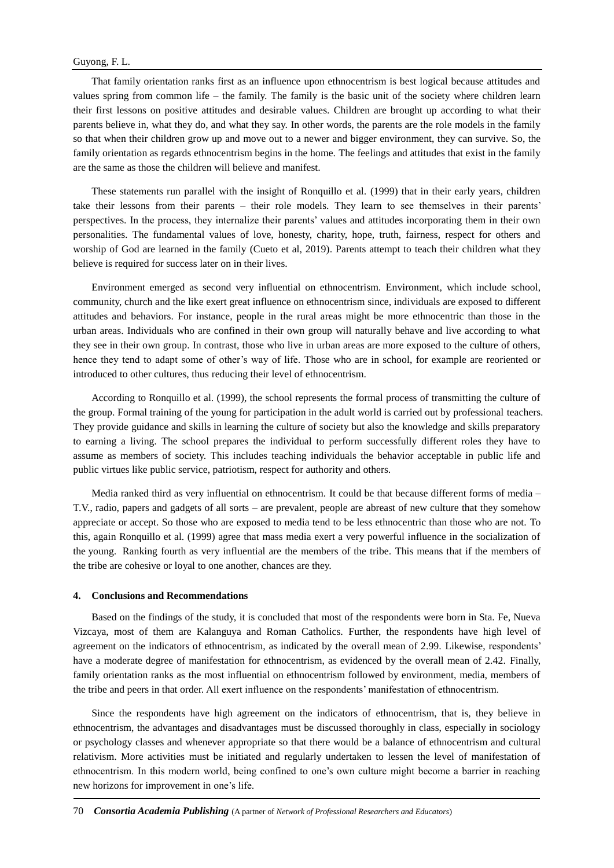That family orientation ranks first as an influence upon ethnocentrism is best logical because attitudes and values spring from common life – the family. The family is the basic unit of the society where children learn their first lessons on positive attitudes and desirable values. Children are brought up according to what their parents believe in, what they do, and what they say. In other words, the parents are the role models in the family so that when their children grow up and move out to a newer and bigger environment, they can survive. So, the family orientation as regards ethnocentrism begins in the home. The feelings and attitudes that exist in the family are the same as those the children will believe and manifest.

These statements run parallel with the insight of Ronquillo et al. (1999) that in their early years, children take their lessons from their parents – their role models. They learn to see themselves in their parents' perspectives. In the process, they internalize their parents' values and attitudes incorporating them in their own personalities. The fundamental values of love, honesty, charity, hope, truth, fairness, respect for others and worship of God are learned in the family (Cueto et al, 2019). Parents attempt to teach their children what they believe is required for success later on in their lives.

Environment emerged as second very influential on ethnocentrism. Environment, which include school, community, church and the like exert great influence on ethnocentrism since, individuals are exposed to different attitudes and behaviors. For instance, people in the rural areas might be more ethnocentric than those in the urban areas. Individuals who are confined in their own group will naturally behave and live according to what they see in their own group. In contrast, those who live in urban areas are more exposed to the culture of others, hence they tend to adapt some of other's way of life. Those who are in school, for example are reoriented or introduced to other cultures, thus reducing their level of ethnocentrism.

According to Ronquillo et al. (1999), the school represents the formal process of transmitting the culture of the group. Formal training of the young for participation in the adult world is carried out by professional teachers. They provide guidance and skills in learning the culture of society but also the knowledge and skills preparatory to earning a living. The school prepares the individual to perform successfully different roles they have to assume as members of society. This includes teaching individuals the behavior acceptable in public life and public virtues like public service, patriotism, respect for authority and others.

Media ranked third as very influential on ethnocentrism. It could be that because different forms of media – T.V., radio, papers and gadgets of all sorts – are prevalent, people are abreast of new culture that they somehow appreciate or accept. So those who are exposed to media tend to be less ethnocentric than those who are not. To this, again Ronquillo et al. (1999) agree that mass media exert a very powerful influence in the socialization of the young. Ranking fourth as very influential are the members of the tribe. This means that if the members of the tribe are cohesive or loyal to one another, chances are they.

#### **4. Conclusions and Recommendations**

Based on the findings of the study, it is concluded that most of the respondents were born in Sta. Fe, Nueva Vizcaya, most of them are Kalanguya and Roman Catholics. Further, the respondents have high level of agreement on the indicators of ethnocentrism, as indicated by the overall mean of 2.99. Likewise, respondents' have a moderate degree of manifestation for ethnocentrism, as evidenced by the overall mean of 2.42. Finally, family orientation ranks as the most influential on ethnocentrism followed by environment, media, members of the tribe and peers in that order. All exert influence on the respondents' manifestation of ethnocentrism.

Since the respondents have high agreement on the indicators of ethnocentrism, that is, they believe in ethnocentrism, the advantages and disadvantages must be discussed thoroughly in class, especially in sociology or psychology classes and whenever appropriate so that there would be a balance of ethnocentrism and cultural relativism. More activities must be initiated and regularly undertaken to lessen the level of manifestation of ethnocentrism. In this modern world, being confined to one's own culture might become a barrier in reaching new horizons for improvement in one's life.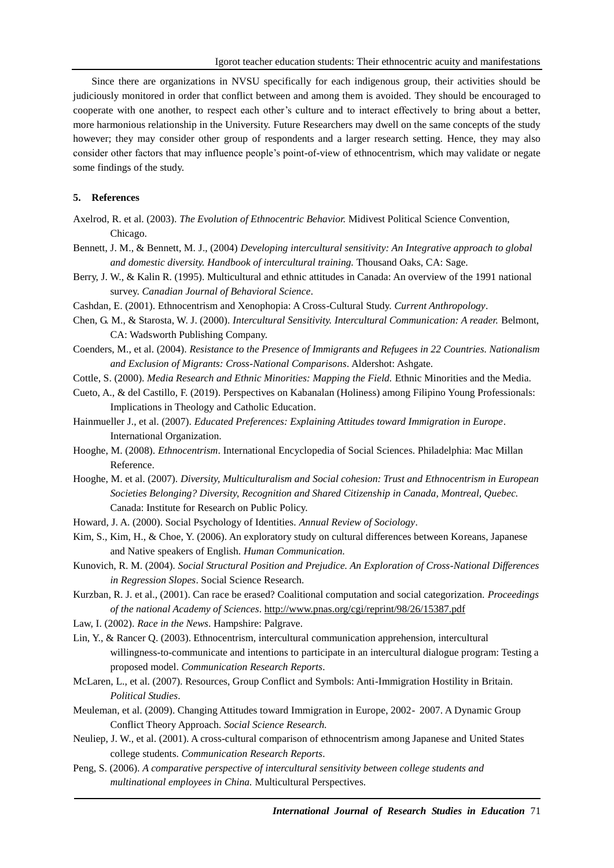Since there are organizations in NVSU specifically for each indigenous group, their activities should be judiciously monitored in order that conflict between and among them is avoided. They should be encouraged to cooperate with one another, to respect each other's culture and to interact effectively to bring about a better, more harmonious relationship in the University. Future Researchers may dwell on the same concepts of the study however; they may consider other group of respondents and a larger research setting. Hence, they may also consider other factors that may influence people's point-of-view of ethnocentrism, which may validate or negate some findings of the study.

# **5. References**

- Axelrod, R. et al. (2003). *The Evolution of Ethnocentric Behavior.* Midivest Political Science Convention, Chicago.
- Bennett, J. M., & Bennett, M. J., (2004) *Developing intercultural sensitivity: An Integrative approach to global and domestic diversity. Handbook of intercultural training.* Thousand Oaks, CA: Sage.
- Berry, J. W., & Kalin R. (1995). Multicultural and ethnic attitudes in Canada: An overview of the 1991 national survey. *Canadian Journal of Behavioral Science*.
- Cashdan, E. (2001). Ethnocentrism and Xenophopia: A Cross-Cultural Study. *Current Anthropology*.
- Chen, G. M., & Starosta, W. J. (2000). *Intercultural Sensitivity. Intercultural Communication: A reader.* Belmont, CA: Wadsworth Publishing Company.
- Coenders, M., et al. (2004). *Resistance to the Presence of Immigrants and Refugees in 22 Countries. Nationalism and Exclusion of Migrants: Cross-National Comparisons*. Aldershot: Ashgate.
- Cottle, S. (2000). *Media Research and Ethnic Minorities: Mapping the Field.* Ethnic Minorities and the Media.
- Cueto, A., & del Castillo, F. (2019). Perspectives on Kabanalan (Holiness) among Filipino Young Professionals: Implications in Theology and Catholic Education.
- Hainmueller J., et al. (2007). *Educated Preferences: Explaining Attitudes toward Immigration in Europe*. International Organization.
- Hooghe, M. (2008). *Ethnocentrism*. International Encyclopedia of Social Sciences. Philadelphia: Mac Millan Reference.
- Hooghe, M. et al. (2007). *Diversity, Multiculturalism and Social cohesion: Trust and Ethnocentrism in European Societies Belonging? Diversity, Recognition and Shared Citizenship in Canada, Montreal, Quebec.* Canada: Institute for Research on Public Policy.
- Howard, J. A. (2000). Social Psychology of Identities. *Annual Review of Sociology*.
- Kim, S., Kim, H., & Choe, Y. (2006). An exploratory study on cultural differences between Koreans, Japanese and Native speakers of English. *Human Communication.*
- Kunovich, R. M. (2004). *Social Structural Position and Prejudice. An Exploration of Cross-National Differences in Regression Slopes*. Social Science Research.
- Kurzban, R. J. et al., (2001). Can race be erased? Coalitional computation and social categorization. *Proceedings of the national Academy of Sciences*.<http://www.pnas.org/cgi/reprint/98/26/15387.pdf>
- Law, I. (2002). *Race in the News*. Hampshire: Palgrave.
- Lin, Y., & Rancer Q. (2003). Ethnocentrism, intercultural communication apprehension, intercultural willingness-to-communicate and intentions to participate in an intercultural dialogue program: Testing a proposed model. *Communication Research Reports*.
- McLaren, L., et al. (2007). Resources, Group Conflict and Symbols: Anti-Immigration Hostility in Britain. *Political Studies*.
- Meuleman, et al. (2009). Changing Attitudes toward Immigration in Europe, 2002- 2007. A Dynamic Group Conflict Theory Approach. *Social Science Research.*
- Neuliep, J. W., et al. (2001). A cross-cultural comparison of ethnocentrism among Japanese and United States college students. *Communication Research Reports*.
- Peng, S. (2006). *A comparative perspective of intercultural sensitivity between college students and multinational employees in China.* Multicultural Perspectives.